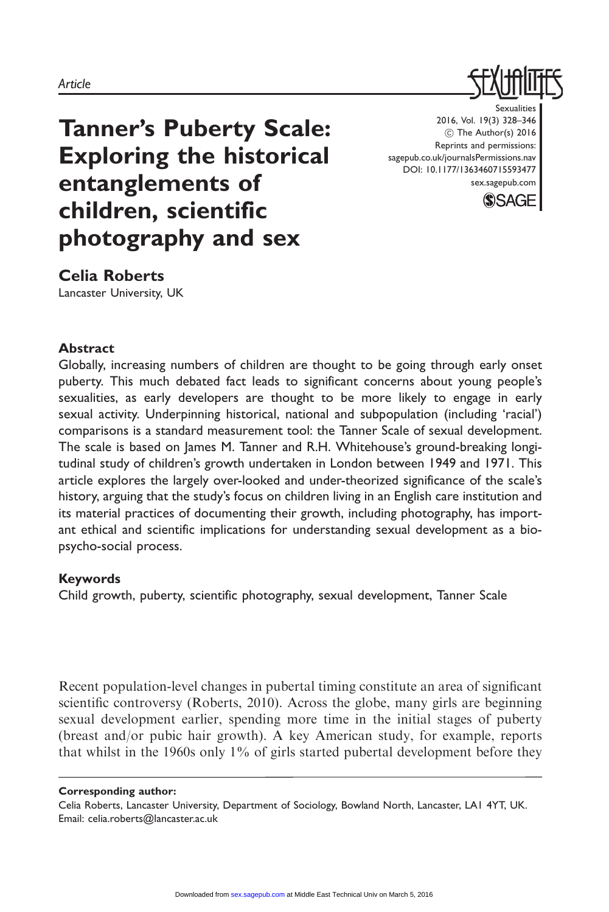#### Article



Tanner's Puberty Scale: Exploring the historical entanglements of children, scientific photography and sex

Sexualities 2016, Vol. 19(3) 328–346 (C) The Author(s) 2016 Reprints and permissions: sagepub.co.uk/journalsPermissions.nav DOI: 10.1177/1363460715593477 sex.sagepub.com



Celia Roberts

Lancaster University, UK

### **Abstract**

Globally, increasing numbers of children are thought to be going through early onset puberty. This much debated fact leads to significant concerns about young people's sexualities, as early developers are thought to be more likely to engage in early sexual activity. Underpinning historical, national and subpopulation (including 'racial') comparisons is a standard measurement tool: the Tanner Scale of sexual development. The scale is based on James M. Tanner and R.H. Whitehouse's ground-breaking longitudinal study of children's growth undertaken in London between 1949 and 1971. This article explores the largely over-looked and under-theorized significance of the scale's history, arguing that the study's focus on children living in an English care institution and its material practices of documenting their growth, including photography, has important ethical and scientific implications for understanding sexual development as a biopsycho-social process.

### Keywords

Child growth, puberty, scientific photography, sexual development, Tanner Scale

Recent population-level changes in pubertal timing constitute an area of significant scientific controversy (Roberts, 2010). Across the globe, many girls are beginning sexual development earlier, spending more time in the initial stages of puberty (breast and/or pubic hair growth). A key American study, for example, reports that whilst in the 1960s only 1% of girls started pubertal development before they

Corresponding author:

Celia Roberts, Lancaster University, Department of Sociology, Bowland North, Lancaster, LA1 4YT, UK. Email: celia.roberts@lancaster.ac.uk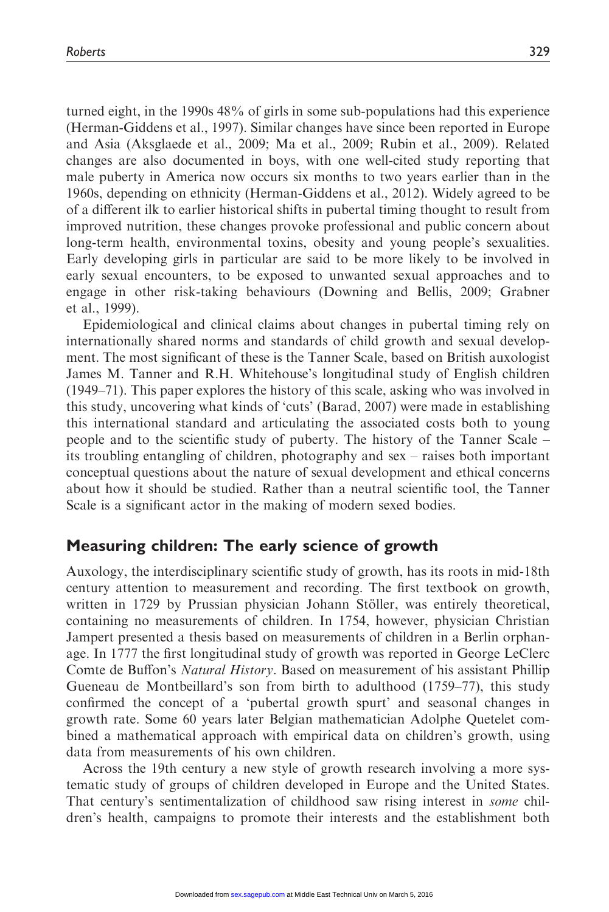turned eight, in the 1990s 48% of girls in some sub-populations had this experience (Herman-Giddens et al., 1997). Similar changes have since been reported in Europe and Asia (Aksglaede et al., 2009; Ma et al., 2009; Rubin et al., 2009). Related changes are also documented in boys, with one well-cited study reporting that male puberty in America now occurs six months to two years earlier than in the 1960s, depending on ethnicity (Herman-Giddens et al., 2012). Widely agreed to be of a different ilk to earlier historical shifts in pubertal timing thought to result from improved nutrition, these changes provoke professional and public concern about long-term health, environmental toxins, obesity and young people's sexualities. Early developing girls in particular are said to be more likely to be involved in early sexual encounters, to be exposed to unwanted sexual approaches and to engage in other risk-taking behaviours (Downing and Bellis, 2009; Grabner et al., 1999).

Epidemiological and clinical claims about changes in pubertal timing rely on internationally shared norms and standards of child growth and sexual development. The most significant of these is the Tanner Scale, based on British auxologist James M. Tanner and R.H. Whitehouse's longitudinal study of English children (1949–71). This paper explores the history of this scale, asking who was involved in this study, uncovering what kinds of 'cuts' (Barad, 2007) were made in establishing this international standard and articulating the associated costs both to young people and to the scientific study of puberty. The history of the Tanner Scale – its troubling entangling of children, photography and sex – raises both important conceptual questions about the nature of sexual development and ethical concerns about how it should be studied. Rather than a neutral scientific tool, the Tanner Scale is a significant actor in the making of modern sexed bodies.

## Measuring children: The early science of growth

Auxology, the interdisciplinary scientific study of growth, has its roots in mid-18th century attention to measurement and recording. The first textbook on growth, written in 1729 by Prussian physician Johann Stöller, was entirely theoretical, containing no measurements of children. In 1754, however, physician Christian Jampert presented a thesis based on measurements of children in a Berlin orphanage. In 1777 the first longitudinal study of growth was reported in George LeClerc Comte de Buffon's Natural History. Based on measurement of his assistant Phillip Gueneau de Montbeillard's son from birth to adulthood (1759–77), this study confirmed the concept of a 'pubertal growth spurt' and seasonal changes in growth rate. Some 60 years later Belgian mathematician Adolphe Quetelet combined a mathematical approach with empirical data on children's growth, using data from measurements of his own children.

Across the 19th century a new style of growth research involving a more systematic study of groups of children developed in Europe and the United States. That century's sentimentalization of childhood saw rising interest in some children's health, campaigns to promote their interests and the establishment both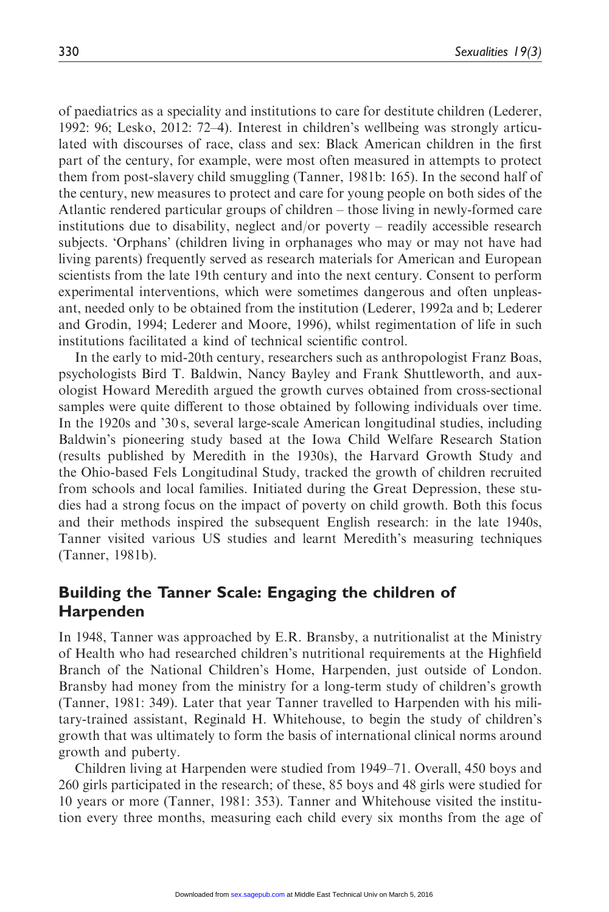of paediatrics as a speciality and institutions to care for destitute children (Lederer, 1992: 96; Lesko, 2012: 72–4). Interest in children's wellbeing was strongly articulated with discourses of race, class and sex: Black American children in the first part of the century, for example, were most often measured in attempts to protect them from post-slavery child smuggling (Tanner, 1981b: 165). In the second half of the century, new measures to protect and care for young people on both sides of the Atlantic rendered particular groups of children – those living in newly-formed care institutions due to disability, neglect and/or poverty – readily accessible research subjects. 'Orphans' (children living in orphanages who may or may not have had living parents) frequently served as research materials for American and European scientists from the late 19th century and into the next century. Consent to perform experimental interventions, which were sometimes dangerous and often unpleasant, needed only to be obtained from the institution (Lederer, 1992a and b; Lederer and Grodin, 1994; Lederer and Moore, 1996), whilst regimentation of life in such institutions facilitated a kind of technical scientific control.

In the early to mid-20th century, researchers such as anthropologist Franz Boas, psychologists Bird T. Baldwin, Nancy Bayley and Frank Shuttleworth, and auxologist Howard Meredith argued the growth curves obtained from cross-sectional samples were quite different to those obtained by following individuals over time. In the 1920s and '30 s, several large-scale American longitudinal studies, including Baldwin's pioneering study based at the Iowa Child Welfare Research Station (results published by Meredith in the 1930s), the Harvard Growth Study and the Ohio-based Fels Longitudinal Study, tracked the growth of children recruited from schools and local families. Initiated during the Great Depression, these studies had a strong focus on the impact of poverty on child growth. Both this focus and their methods inspired the subsequent English research: in the late 1940s, Tanner visited various US studies and learnt Meredith's measuring techniques (Tanner, 1981b).

# Building the Tanner Scale: Engaging the children of Harpenden

In 1948, Tanner was approached by E.R. Bransby, a nutritionalist at the Ministry of Health who had researched children's nutritional requirements at the Highfield Branch of the National Children's Home, Harpenden, just outside of London. Bransby had money from the ministry for a long-term study of children's growth (Tanner, 1981: 349). Later that year Tanner travelled to Harpenden with his military-trained assistant, Reginald H. Whitehouse, to begin the study of children's growth that was ultimately to form the basis of international clinical norms around growth and puberty.

Children living at Harpenden were studied from 1949–71. Overall, 450 boys and 260 girls participated in the research; of these, 85 boys and 48 girls were studied for 10 years or more (Tanner, 1981: 353). Tanner and Whitehouse visited the institution every three months, measuring each child every six months from the age of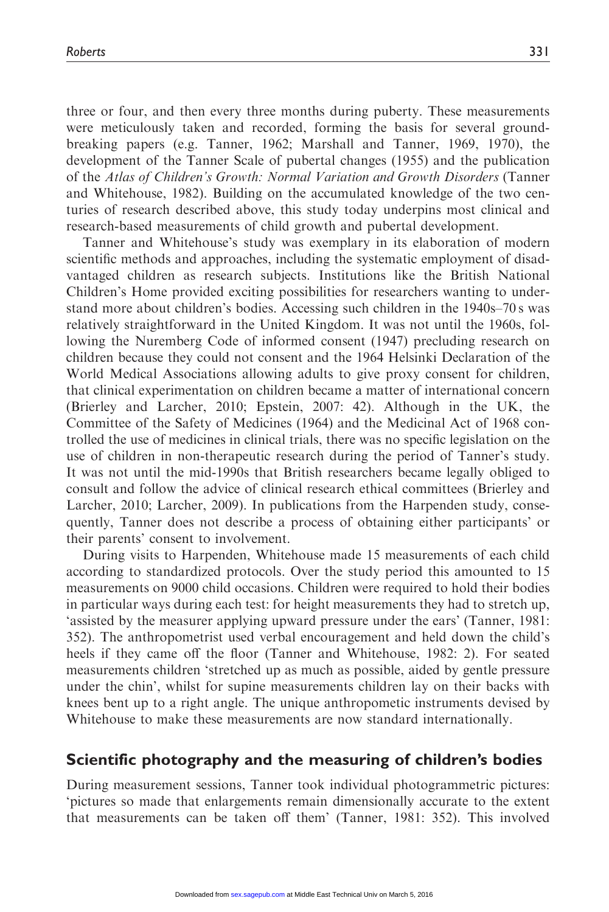three or four, and then every three months during puberty. These measurements were meticulously taken and recorded, forming the basis for several groundbreaking papers (e.g. Tanner, 1962; Marshall and Tanner, 1969, 1970), the development of the Tanner Scale of pubertal changes (1955) and the publication of the Atlas of Children's Growth: Normal Variation and Growth Disorders (Tanner and Whitehouse, 1982). Building on the accumulated knowledge of the two centuries of research described above, this study today underpins most clinical and research-based measurements of child growth and pubertal development.

Tanner and Whitehouse's study was exemplary in its elaboration of modern scientific methods and approaches, including the systematic employment of disadvantaged children as research subjects. Institutions like the British National Children's Home provided exciting possibilities for researchers wanting to understand more about children's bodies. Accessing such children in the 1940s–70 s was relatively straightforward in the United Kingdom. It was not until the 1960s, following the Nuremberg Code of informed consent (1947) precluding research on children because they could not consent and the 1964 Helsinki Declaration of the World Medical Associations allowing adults to give proxy consent for children, that clinical experimentation on children became a matter of international concern (Brierley and Larcher, 2010; Epstein, 2007: 42). Although in the UK, the Committee of the Safety of Medicines (1964) and the Medicinal Act of 1968 controlled the use of medicines in clinical trials, there was no specific legislation on the use of children in non-therapeutic research during the period of Tanner's study. It was not until the mid-1990s that British researchers became legally obliged to consult and follow the advice of clinical research ethical committees (Brierley and Larcher, 2010; Larcher, 2009). In publications from the Harpenden study, consequently, Tanner does not describe a process of obtaining either participants' or their parents' consent to involvement.

During visits to Harpenden, Whitehouse made 15 measurements of each child according to standardized protocols. Over the study period this amounted to 15 measurements on 9000 child occasions. Children were required to hold their bodies in particular ways during each test: for height measurements they had to stretch up, 'assisted by the measurer applying upward pressure under the ears' (Tanner, 1981: 352). The anthropometrist used verbal encouragement and held down the child's heels if they came off the floor (Tanner and Whitehouse, 1982: 2). For seated measurements children 'stretched up as much as possible, aided by gentle pressure under the chin', whilst for supine measurements children lay on their backs with knees bent up to a right angle. The unique anthropometic instruments devised by Whitehouse to make these measurements are now standard internationally.

### Scientific photography and the measuring of children's bodies

During measurement sessions, Tanner took individual photogrammetric pictures: 'pictures so made that enlargements remain dimensionally accurate to the extent that measurements can be taken off them' (Tanner, 1981: 352). This involved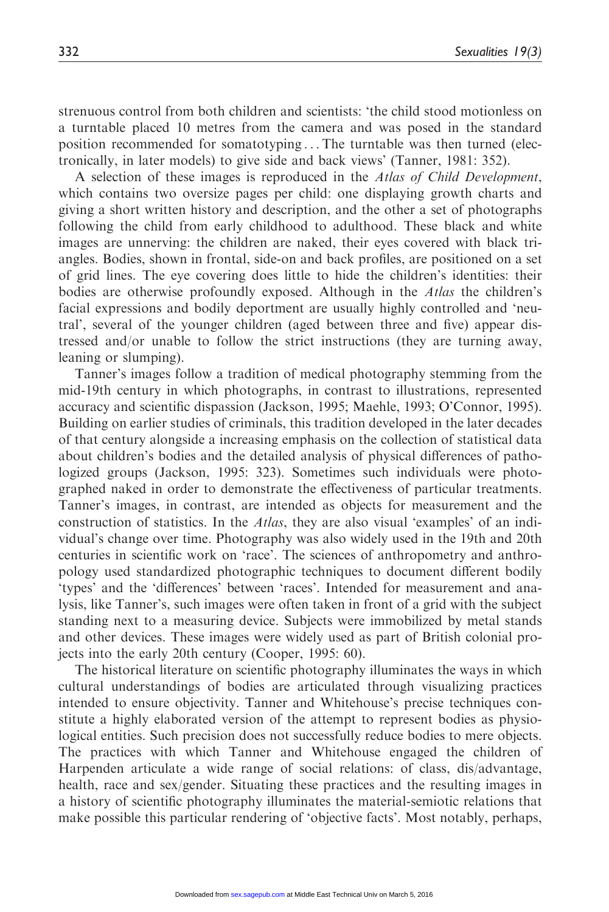strenuous control from both children and scientists: 'the child stood motionless on a turntable placed 10 metres from the camera and was posed in the standard position recommended for somatotyping ... The turntable was then turned (electronically, in later models) to give side and back views' (Tanner, 1981: 352).

A selection of these images is reproduced in the Atlas of Child Development, which contains two oversize pages per child: one displaying growth charts and giving a short written history and description, and the other a set of photographs following the child from early childhood to adulthood. These black and white images are unnerving: the children are naked, their eyes covered with black triangles. Bodies, shown in frontal, side-on and back profiles, are positioned on a set of grid lines. The eye covering does little to hide the children's identities: their bodies are otherwise profoundly exposed. Although in the Atlas the children's facial expressions and bodily deportment are usually highly controlled and 'neutral', several of the younger children (aged between three and five) appear distressed and/or unable to follow the strict instructions (they are turning away, leaning or slumping).

Tanner's images follow a tradition of medical photography stemming from the mid-19th century in which photographs, in contrast to illustrations, represented accuracy and scientific dispassion (Jackson, 1995; Maehle, 1993; O'Connor, 1995). Building on earlier studies of criminals, this tradition developed in the later decades of that century alongside a increasing emphasis on the collection of statistical data about children's bodies and the detailed analysis of physical differences of pathologized groups (Jackson, 1995: 323). Sometimes such individuals were photographed naked in order to demonstrate the effectiveness of particular treatments. Tanner's images, in contrast, are intended as objects for measurement and the construction of statistics. In the *Atlas*, they are also visual 'examples' of an individual's change over time. Photography was also widely used in the 19th and 20th centuries in scientific work on 'race'. The sciences of anthropometry and anthropology used standardized photographic techniques to document different bodily 'types' and the 'differences' between 'races'. Intended for measurement and analysis, like Tanner's, such images were often taken in front of a grid with the subject standing next to a measuring device. Subjects were immobilized by metal stands and other devices. These images were widely used as part of British colonial projects into the early 20th century (Cooper, 1995: 60).

The historical literature on scientific photography illuminates the ways in which cultural understandings of bodies are articulated through visualizing practices intended to ensure objectivity. Tanner and Whitehouse's precise techniques constitute a highly elaborated version of the attempt to represent bodies as physiological entities. Such precision does not successfully reduce bodies to mere objects. The practices with which Tanner and Whitehouse engaged the children of Harpenden articulate a wide range of social relations: of class, dis/advantage, health, race and sex/gender. Situating these practices and the resulting images in a history of scientific photography illuminates the material-semiotic relations that make possible this particular rendering of 'objective facts'. Most notably, perhaps,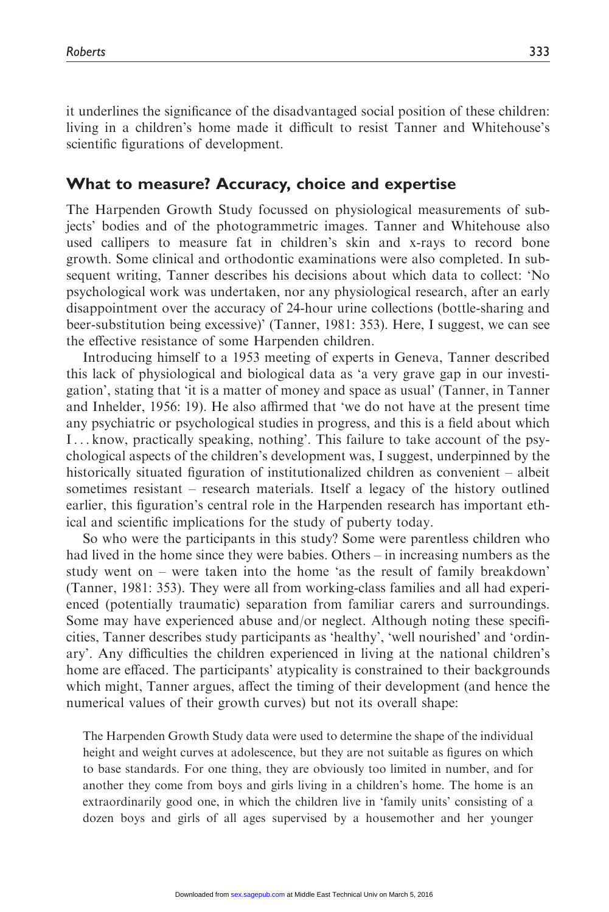it underlines the significance of the disadvantaged social position of these children: living in a children's home made it difficult to resist Tanner and Whitehouse's scientific figurations of development.

## What to measure? Accuracy, choice and expertise

The Harpenden Growth Study focussed on physiological measurements of subjects' bodies and of the photogrammetric images. Tanner and Whitehouse also used callipers to measure fat in children's skin and x-rays to record bone growth. Some clinical and orthodontic examinations were also completed. In subsequent writing, Tanner describes his decisions about which data to collect: 'No psychological work was undertaken, nor any physiological research, after an early disappointment over the accuracy of 24-hour urine collections (bottle-sharing and beer-substitution being excessive)' (Tanner, 1981: 353). Here, I suggest, we can see the effective resistance of some Harpenden children.

Introducing himself to a 1953 meeting of experts in Geneva, Tanner described this lack of physiological and biological data as 'a very grave gap in our investigation', stating that 'it is a matter of money and space as usual' (Tanner, in Tanner and Inhelder, 1956: 19). He also affirmed that 'we do not have at the present time any psychiatric or psychological studies in progress, and this is a field about which I... know, practically speaking, nothing'. This failure to take account of the psychological aspects of the children's development was, I suggest, underpinned by the historically situated figuration of institutionalized children as convenient – albeit sometimes resistant – research materials. Itself a legacy of the history outlined earlier, this figuration's central role in the Harpenden research has important ethical and scientific implications for the study of puberty today.

So who were the participants in this study? Some were parentless children who had lived in the home since they were babies. Others – in increasing numbers as the study went on – were taken into the home 'as the result of family breakdown' (Tanner, 1981: 353). They were all from working-class families and all had experienced (potentially traumatic) separation from familiar carers and surroundings. Some may have experienced abuse and/or neglect. Although noting these specificities, Tanner describes study participants as 'healthy', 'well nourished' and 'ordinary'. Any difficulties the children experienced in living at the national children's home are effaced. The participants' atypicality is constrained to their backgrounds which might, Tanner argues, affect the timing of their development (and hence the numerical values of their growth curves) but not its overall shape:

The Harpenden Growth Study data were used to determine the shape of the individual height and weight curves at adolescence, but they are not suitable as figures on which to base standards. For one thing, they are obviously too limited in number, and for another they come from boys and girls living in a children's home. The home is an extraordinarily good one, in which the children live in 'family units' consisting of a dozen boys and girls of all ages supervised by a housemother and her younger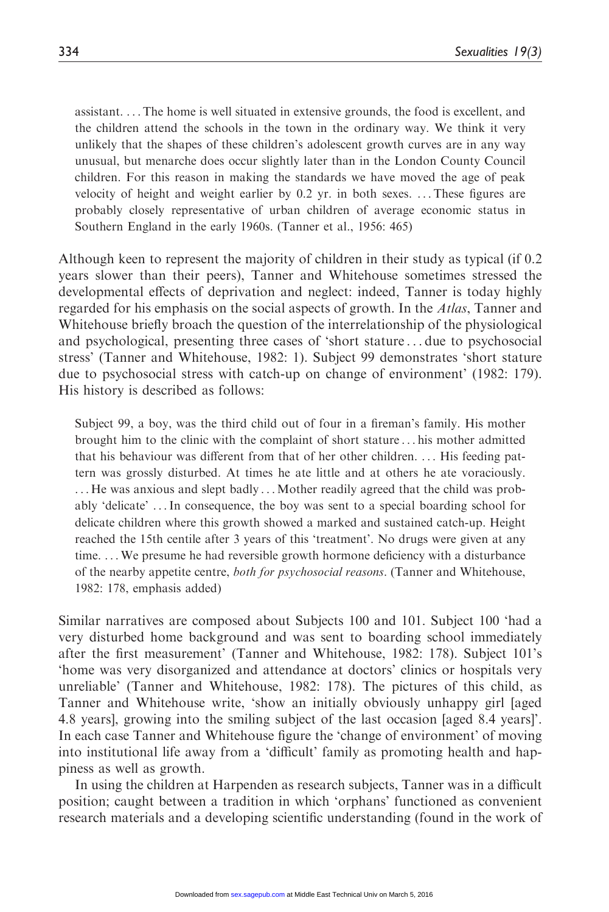assistant. ...The home is well situated in extensive grounds, the food is excellent, and the children attend the schools in the town in the ordinary way. We think it very unlikely that the shapes of these children's adolescent growth curves are in any way unusual, but menarche does occur slightly later than in the London County Council children. For this reason in making the standards we have moved the age of peak velocity of height and weight earlier by 0.2 yr. in both sexes. ...These figures are probably closely representative of urban children of average economic status in Southern England in the early 1960s. (Tanner et al., 1956: 465)

Although keen to represent the majority of children in their study as typical (if 0.2 years slower than their peers), Tanner and Whitehouse sometimes stressed the developmental effects of deprivation and neglect: indeed, Tanner is today highly regarded for his emphasis on the social aspects of growth. In the *Atlas*, Tanner and Whitehouse briefly broach the question of the interrelationship of the physiological and psychological, presenting three cases of 'short stature ... due to psychosocial stress' (Tanner and Whitehouse, 1982: 1). Subject 99 demonstrates 'short stature due to psychosocial stress with catch-up on change of environment' (1982: 179). His history is described as follows:

Subject 99, a boy, was the third child out of four in a fireman's family. His mother brought him to the clinic with the complaint of short stature ... his mother admitted that his behaviour was different from that of her other children. ... His feeding pattern was grossly disturbed. At times he ate little and at others he ate voraciously. ... He was anxious and slept badly ... Mother readily agreed that the child was probably 'delicate' ...In consequence, the boy was sent to a special boarding school for delicate children where this growth showed a marked and sustained catch-up. Height reached the 15th centile after 3 years of this 'treatment'. No drugs were given at any time. ... We presume he had reversible growth hormone deficiency with a disturbance of the nearby appetite centre, both for psychosocial reasons. (Tanner and Whitehouse, 1982: 178, emphasis added)

Similar narratives are composed about Subjects 100 and 101. Subject 100 'had a very disturbed home background and was sent to boarding school immediately after the first measurement' (Tanner and Whitehouse, 1982: 178). Subject 101's 'home was very disorganized and attendance at doctors' clinics or hospitals very unreliable' (Tanner and Whitehouse, 1982: 178). The pictures of this child, as Tanner and Whitehouse write, 'show an initially obviously unhappy girl [aged 4.8 years], growing into the smiling subject of the last occasion [aged 8.4 years]'. In each case Tanner and Whitehouse figure the 'change of environment' of moving into institutional life away from a 'difficult' family as promoting health and happiness as well as growth.

In using the children at Harpenden as research subjects, Tanner was in a difficult position; caught between a tradition in which 'orphans' functioned as convenient research materials and a developing scientific understanding (found in the work of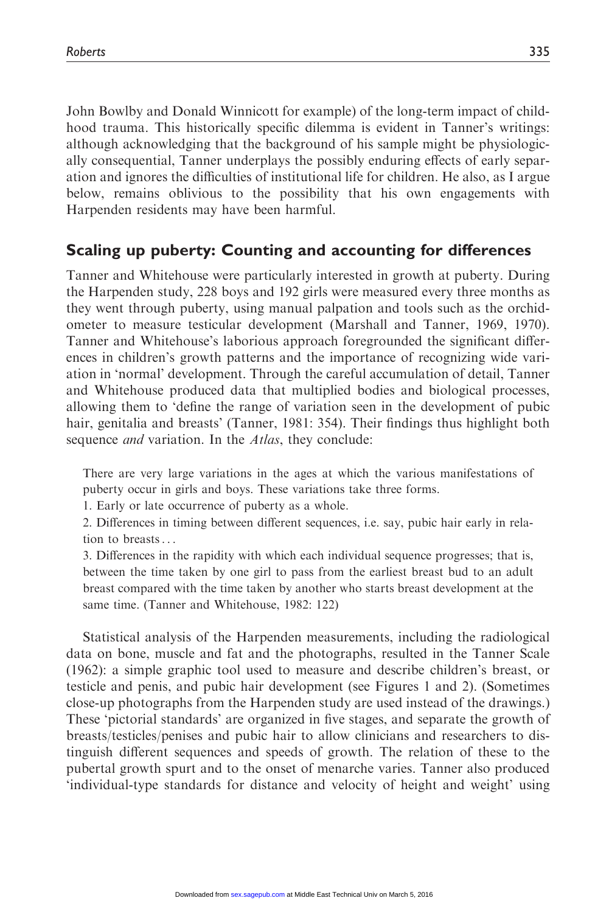John Bowlby and Donald Winnicott for example) of the long-term impact of childhood trauma. This historically specific dilemma is evident in Tanner's writings: although acknowledging that the background of his sample might be physiologically consequential, Tanner underplays the possibly enduring effects of early separation and ignores the difficulties of institutional life for children. He also, as I argue below, remains oblivious to the possibility that his own engagements with Harpenden residents may have been harmful.

## Scaling up puberty: Counting and accounting for differences

Tanner and Whitehouse were particularly interested in growth at puberty. During the Harpenden study, 228 boys and 192 girls were measured every three months as they went through puberty, using manual palpation and tools such as the orchidometer to measure testicular development (Marshall and Tanner, 1969, 1970). Tanner and Whitehouse's laborious approach foregrounded the significant differences in children's growth patterns and the importance of recognizing wide variation in 'normal' development. Through the careful accumulation of detail, Tanner and Whitehouse produced data that multiplied bodies and biological processes, allowing them to 'define the range of variation seen in the development of pubic hair, genitalia and breasts' (Tanner, 1981: 354). Their findings thus highlight both sequence *and* variation. In the *Atlas*, they conclude:

There are very large variations in the ages at which the various manifestations of puberty occur in girls and boys. These variations take three forms.

1. Early or late occurrence of puberty as a whole.

2. Differences in timing between different sequences, i.e. say, pubic hair early in relation to breasts...

3. Differences in the rapidity with which each individual sequence progresses; that is, between the time taken by one girl to pass from the earliest breast bud to an adult breast compared with the time taken by another who starts breast development at the same time. (Tanner and Whitehouse, 1982: 122)

Statistical analysis of the Harpenden measurements, including the radiological data on bone, muscle and fat and the photographs, resulted in the Tanner Scale (1962): a simple graphic tool used to measure and describe children's breast, or testicle and penis, and pubic hair development (see Figures 1 and 2). (Sometimes close-up photographs from the Harpenden study are used instead of the drawings.) These 'pictorial standards' are organized in five stages, and separate the growth of breasts/testicles/penises and pubic hair to allow clinicians and researchers to distinguish different sequences and speeds of growth. The relation of these to the pubertal growth spurt and to the onset of menarche varies. Tanner also produced 'individual-type standards for distance and velocity of height and weight' using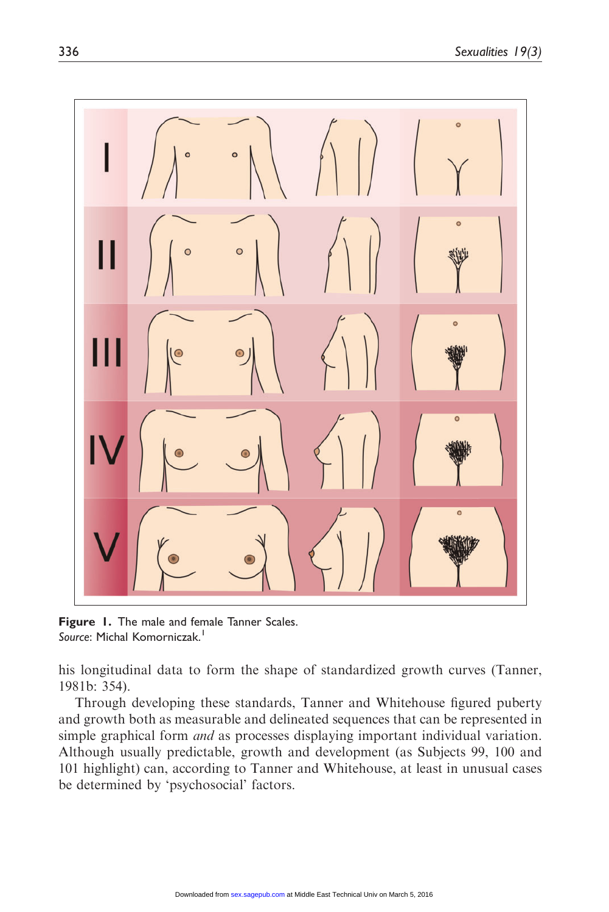

Figure 1. The male and female Tanner Scales. Source: Michal Komorniczak.<sup>1</sup>

his longitudinal data to form the shape of standardized growth curves (Tanner, 1981b: 354).

Through developing these standards, Tanner and Whitehouse figured puberty and growth both as measurable and delineated sequences that can be represented in simple graphical form *and* as processes displaying important individual variation. Although usually predictable, growth and development (as Subjects 99, 100 and 101 highlight) can, according to Tanner and Whitehouse, at least in unusual cases be determined by 'psychosocial' factors.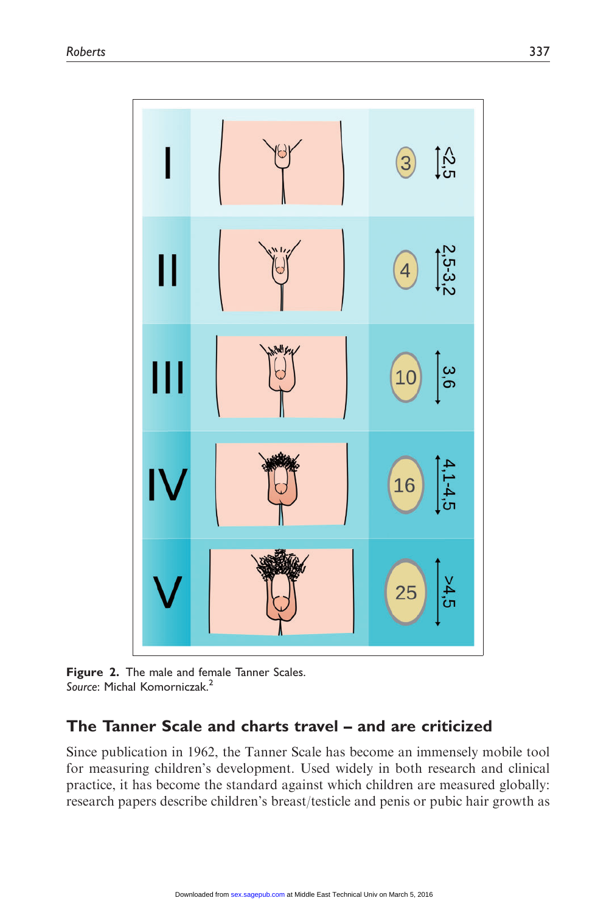

Figure 2. The male and female Tanner Scales. Source: Michal Komorniczak.<sup>2</sup>

# The Tanner Scale and charts travel – and are criticized

Since publication in 1962, the Tanner Scale has become an immensely mobile tool for measuring children's development. Used widely in both research and clinical practice, it has become the standard against which children are measured globally: research papers describe children's breast/testicle and penis or pubic hair growth as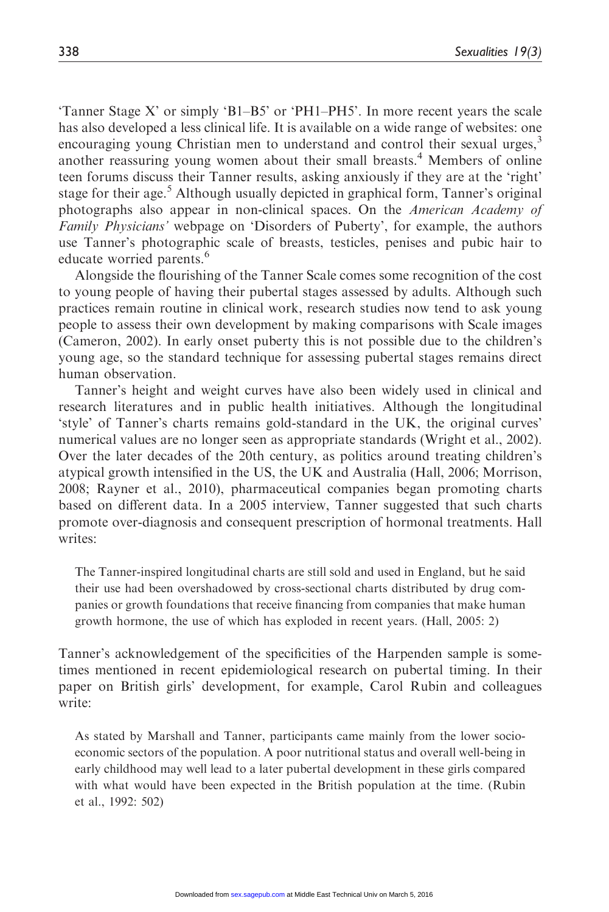'Tanner Stage X' or simply 'B1–B5' or 'PH1–PH5'. In more recent years the scale has also developed a less clinical life. It is available on a wide range of websites: one encouraging young Christian men to understand and control their sexual urges,<sup>3</sup> another reassuring young women about their small breasts.<sup>4</sup> Members of online teen forums discuss their Tanner results, asking anxiously if they are at the 'right' stage for their age.<sup>5</sup> Although usually depicted in graphical form, Tanner's original photographs also appear in non-clinical spaces. On the American Academy of Family Physicians' webpage on 'Disorders of Puberty', for example, the authors use Tanner's photographic scale of breasts, testicles, penises and pubic hair to educate worried parents.<sup>6</sup>

Alongside the flourishing of the Tanner Scale comes some recognition of the cost to young people of having their pubertal stages assessed by adults. Although such practices remain routine in clinical work, research studies now tend to ask young people to assess their own development by making comparisons with Scale images (Cameron, 2002). In early onset puberty this is not possible due to the children's young age, so the standard technique for assessing pubertal stages remains direct human observation.

Tanner's height and weight curves have also been widely used in clinical and research literatures and in public health initiatives. Although the longitudinal 'style' of Tanner's charts remains gold-standard in the UK, the original curves' numerical values are no longer seen as appropriate standards (Wright et al., 2002). Over the later decades of the 20th century, as politics around treating children's atypical growth intensified in the US, the UK and Australia (Hall, 2006; Morrison, 2008; Rayner et al., 2010), pharmaceutical companies began promoting charts based on different data. In a 2005 interview, Tanner suggested that such charts promote over-diagnosis and consequent prescription of hormonal treatments. Hall writes:

The Tanner-inspired longitudinal charts are still sold and used in England, but he said their use had been overshadowed by cross-sectional charts distributed by drug companies or growth foundations that receive financing from companies that make human growth hormone, the use of which has exploded in recent years. (Hall, 2005: 2)

Tanner's acknowledgement of the specificities of the Harpenden sample is sometimes mentioned in recent epidemiological research on pubertal timing. In their paper on British girls' development, for example, Carol Rubin and colleagues write:

As stated by Marshall and Tanner, participants came mainly from the lower socioeconomic sectors of the population. A poor nutritional status and overall well-being in early childhood may well lead to a later pubertal development in these girls compared with what would have been expected in the British population at the time. (Rubin et al., 1992: 502)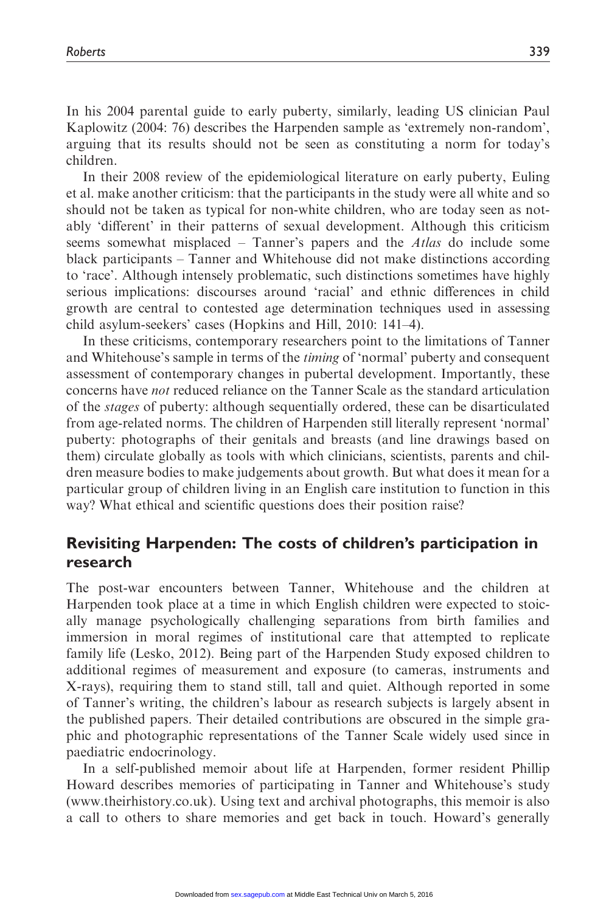In his 2004 parental guide to early puberty, similarly, leading US clinician Paul Kaplowitz (2004: 76) describes the Harpenden sample as 'extremely non-random', arguing that its results should not be seen as constituting a norm for today's children.

In their 2008 review of the epidemiological literature on early puberty, Euling et al. make another criticism: that the participants in the study were all white and so should not be taken as typical for non-white children, who are today seen as notably 'different' in their patterns of sexual development. Although this criticism seems somewhat misplaced – Tanner's papers and the Atlas do include some black participants – Tanner and Whitehouse did not make distinctions according to 'race'. Although intensely problematic, such distinctions sometimes have highly serious implications: discourses around 'racial' and ethnic differences in child growth are central to contested age determination techniques used in assessing child asylum-seekers' cases (Hopkins and Hill, 2010: 141–4).

In these criticisms, contemporary researchers point to the limitations of Tanner and Whitehouse's sample in terms of the timing of 'normal' puberty and consequent assessment of contemporary changes in pubertal development. Importantly, these concerns have not reduced reliance on the Tanner Scale as the standard articulation of the stages of puberty: although sequentially ordered, these can be disarticulated from age-related norms. The children of Harpenden still literally represent 'normal' puberty: photographs of their genitals and breasts (and line drawings based on them) circulate globally as tools with which clinicians, scientists, parents and children measure bodies to make judgements about growth. But what does it mean for a particular group of children living in an English care institution to function in this way? What ethical and scientific questions does their position raise?

# Revisiting Harpenden: The costs of children's participation in research

The post-war encounters between Tanner, Whitehouse and the children at Harpenden took place at a time in which English children were expected to stoically manage psychologically challenging separations from birth families and immersion in moral regimes of institutional care that attempted to replicate family life (Lesko, 2012). Being part of the Harpenden Study exposed children to additional regimes of measurement and exposure (to cameras, instruments and X-rays), requiring them to stand still, tall and quiet. Although reported in some of Tanner's writing, the children's labour as research subjects is largely absent in the published papers. Their detailed contributions are obscured in the simple graphic and photographic representations of the Tanner Scale widely used since in paediatric endocrinology.

In a self-published memoir about life at Harpenden, former resident Phillip Howard describes memories of participating in Tanner and Whitehouse's study (<www.theirhistory.co.uk>). Using text and archival photographs, this memoir is also a call to others to share memories and get back in touch. Howard's generally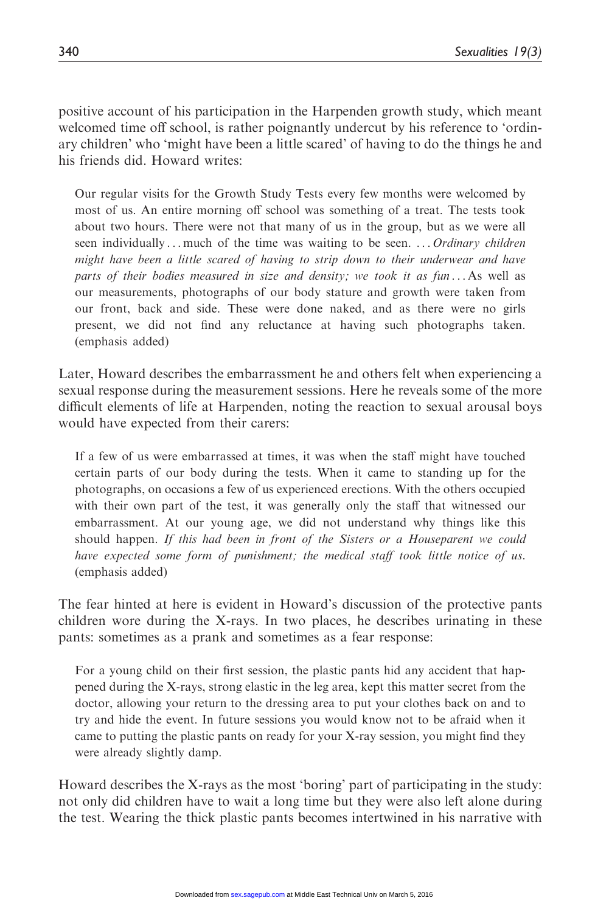positive account of his participation in the Harpenden growth study, which meant welcomed time off school, is rather poignantly undercut by his reference to 'ordinary children' who 'might have been a little scared' of having to do the things he and his friends did. Howard writes:

Our regular visits for the Growth Study Tests every few months were welcomed by most of us. An entire morning off school was something of a treat. The tests took about two hours. There were not that many of us in the group, but as we were all seen individually ... much of the time was waiting to be seen. ... Ordinary children might have been a little scared of having to strip down to their underwear and have parts of their bodies measured in size and density; we took it as fun ... As well as our measurements, photographs of our body stature and growth were taken from our front, back and side. These were done naked, and as there were no girls present, we did not find any reluctance at having such photographs taken. (emphasis added)

Later, Howard describes the embarrassment he and others felt when experiencing a sexual response during the measurement sessions. Here he reveals some of the more difficult elements of life at Harpenden, noting the reaction to sexual arousal boys would have expected from their carers:

If a few of us were embarrassed at times, it was when the staff might have touched certain parts of our body during the tests. When it came to standing up for the photographs, on occasions a few of us experienced erections. With the others occupied with their own part of the test, it was generally only the staff that witnessed our embarrassment. At our young age, we did not understand why things like this should happen. If this had been in front of the Sisters or a Houseparent we could have expected some form of punishment; the medical staff took little notice of us. (emphasis added)

The fear hinted at here is evident in Howard's discussion of the protective pants children wore during the X-rays. In two places, he describes urinating in these pants: sometimes as a prank and sometimes as a fear response:

For a young child on their first session, the plastic pants hid any accident that happened during the X-rays, strong elastic in the leg area, kept this matter secret from the doctor, allowing your return to the dressing area to put your clothes back on and to try and hide the event. In future sessions you would know not to be afraid when it came to putting the plastic pants on ready for your X-ray session, you might find they were already slightly damp.

Howard describes the X-rays as the most 'boring' part of participating in the study: not only did children have to wait a long time but they were also left alone during the test. Wearing the thick plastic pants becomes intertwined in his narrative with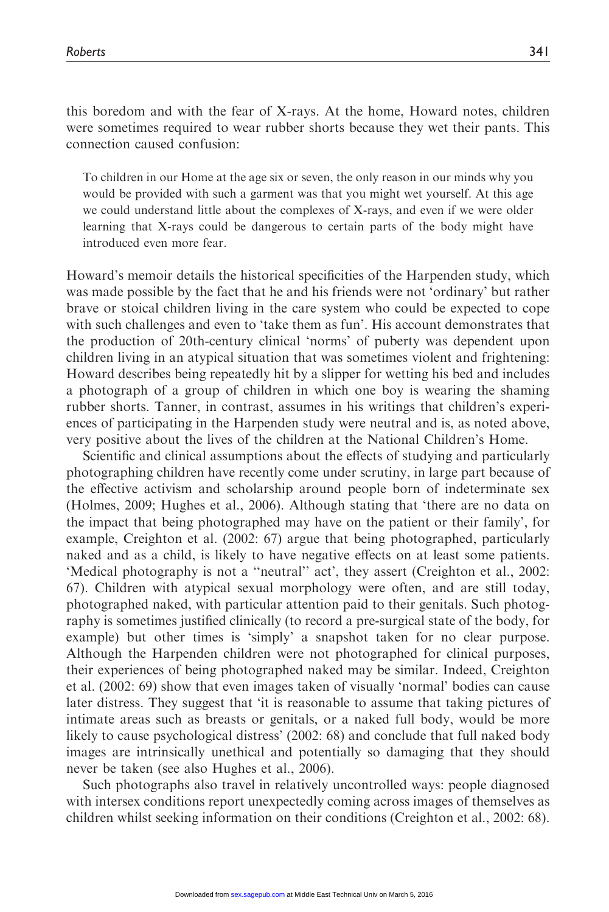this boredom and with the fear of X-rays. At the home, Howard notes, children were sometimes required to wear rubber shorts because they wet their pants. This connection caused confusion:

To children in our Home at the age six or seven, the only reason in our minds why you would be provided with such a garment was that you might wet yourself. At this age we could understand little about the complexes of X-rays, and even if we were older learning that X-rays could be dangerous to certain parts of the body might have introduced even more fear.

Howard's memoir details the historical specificities of the Harpenden study, which was made possible by the fact that he and his friends were not 'ordinary' but rather brave or stoical children living in the care system who could be expected to cope with such challenges and even to 'take them as fun'. His account demonstrates that the production of 20th-century clinical 'norms' of puberty was dependent upon children living in an atypical situation that was sometimes violent and frightening: Howard describes being repeatedly hit by a slipper for wetting his bed and includes a photograph of a group of children in which one boy is wearing the shaming rubber shorts. Tanner, in contrast, assumes in his writings that children's experiences of participating in the Harpenden study were neutral and is, as noted above, very positive about the lives of the children at the National Children's Home.

Scientific and clinical assumptions about the effects of studying and particularly photographing children have recently come under scrutiny, in large part because of the effective activism and scholarship around people born of indeterminate sex (Holmes, 2009; Hughes et al., 2006). Although stating that 'there are no data on the impact that being photographed may have on the patient or their family', for example, Creighton et al. (2002: 67) argue that being photographed, particularly naked and as a child, is likely to have negative effects on at least some patients. 'Medical photography is not a ''neutral'' act', they assert (Creighton et al., 2002: 67). Children with atypical sexual morphology were often, and are still today, photographed naked, with particular attention paid to their genitals. Such photography is sometimes justified clinically (to record a pre-surgical state of the body, for example) but other times is 'simply' a snapshot taken for no clear purpose. Although the Harpenden children were not photographed for clinical purposes, their experiences of being photographed naked may be similar. Indeed, Creighton et al. (2002: 69) show that even images taken of visually 'normal' bodies can cause later distress. They suggest that 'it is reasonable to assume that taking pictures of intimate areas such as breasts or genitals, or a naked full body, would be more likely to cause psychological distress' (2002: 68) and conclude that full naked body images are intrinsically unethical and potentially so damaging that they should never be taken (see also Hughes et al., 2006).

Such photographs also travel in relatively uncontrolled ways: people diagnosed with intersex conditions report unexpectedly coming across images of themselves as children whilst seeking information on their conditions (Creighton et al., 2002: 68).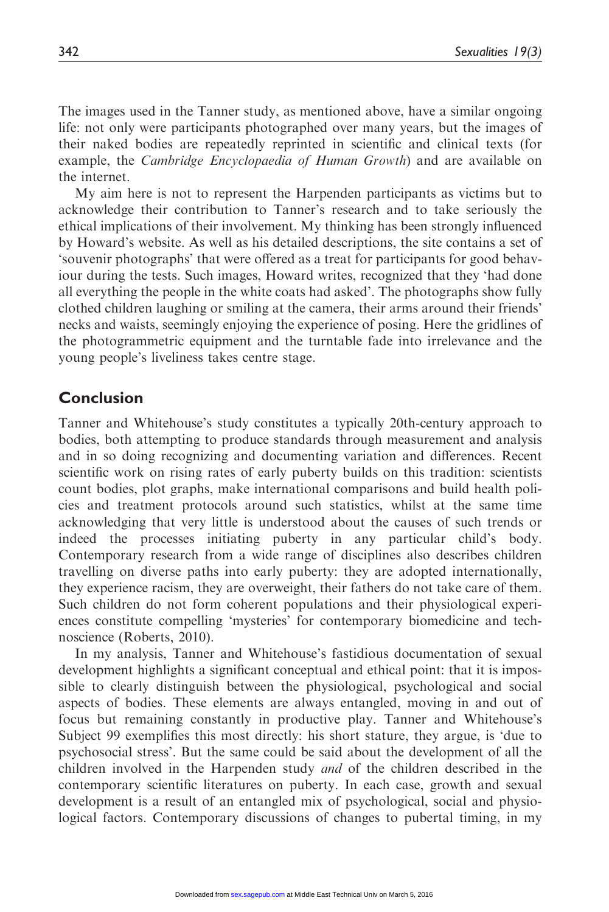The images used in the Tanner study, as mentioned above, have a similar ongoing life: not only were participants photographed over many years, but the images of their naked bodies are repeatedly reprinted in scientific and clinical texts (for example, the *Cambridge Encyclopaedia of Human Growth*) and are available on the internet.

My aim here is not to represent the Harpenden participants as victims but to acknowledge their contribution to Tanner's research and to take seriously the ethical implications of their involvement. My thinking has been strongly influenced by Howard's website. As well as his detailed descriptions, the site contains a set of 'souvenir photographs' that were offered as a treat for participants for good behaviour during the tests. Such images, Howard writes, recognized that they 'had done all everything the people in the white coats had asked'. The photographs show fully clothed children laughing or smiling at the camera, their arms around their friends' necks and waists, seemingly enjoying the experience of posing. Here the gridlines of the photogrammetric equipment and the turntable fade into irrelevance and the young people's liveliness takes centre stage.

### Conclusion

Tanner and Whitehouse's study constitutes a typically 20th-century approach to bodies, both attempting to produce standards through measurement and analysis and in so doing recognizing and documenting variation and differences. Recent scientific work on rising rates of early puberty builds on this tradition: scientists count bodies, plot graphs, make international comparisons and build health policies and treatment protocols around such statistics, whilst at the same time acknowledging that very little is understood about the causes of such trends or indeed the processes initiating puberty in any particular child's body. Contemporary research from a wide range of disciplines also describes children travelling on diverse paths into early puberty: they are adopted internationally, they experience racism, they are overweight, their fathers do not take care of them. Such children do not form coherent populations and their physiological experiences constitute compelling 'mysteries' for contemporary biomedicine and technoscience (Roberts, 2010).

In my analysis, Tanner and Whitehouse's fastidious documentation of sexual development highlights a significant conceptual and ethical point: that it is impossible to clearly distinguish between the physiological, psychological and social aspects of bodies. These elements are always entangled, moving in and out of focus but remaining constantly in productive play. Tanner and Whitehouse's Subject 99 exemplifies this most directly: his short stature, they argue, is 'due to psychosocial stress'. But the same could be said about the development of all the children involved in the Harpenden study *and* of the children described in the contemporary scientific literatures on puberty. In each case, growth and sexual development is a result of an entangled mix of psychological, social and physiological factors. Contemporary discussions of changes to pubertal timing, in my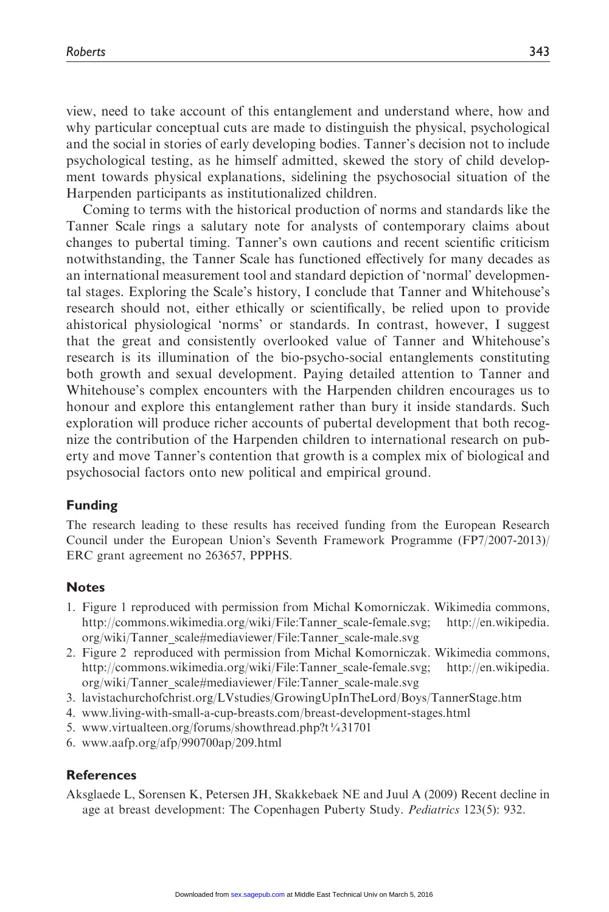view, need to take account of this entanglement and understand where, how and why particular conceptual cuts are made to distinguish the physical, psychological and the social in stories of early developing bodies. Tanner's decision not to include psychological testing, as he himself admitted, skewed the story of child development towards physical explanations, sidelining the psychosocial situation of the Harpenden participants as institutionalized children.

Coming to terms with the historical production of norms and standards like the Tanner Scale rings a salutary note for analysts of contemporary claims about changes to pubertal timing. Tanner's own cautions and recent scientific criticism notwithstanding, the Tanner Scale has functioned effectively for many decades as an international measurement tool and standard depiction of 'normal' developmental stages. Exploring the Scale's history, I conclude that Tanner and Whitehouse's research should not, either ethically or scientifically, be relied upon to provide ahistorical physiological 'norms' or standards. In contrast, however, I suggest that the great and consistently overlooked value of Tanner and Whitehouse's research is its illumination of the bio-psycho-social entanglements constituting both growth and sexual development. Paying detailed attention to Tanner and Whitehouse's complex encounters with the Harpenden children encourages us to honour and explore this entanglement rather than bury it inside standards. Such exploration will produce richer accounts of pubertal development that both recognize the contribution of the Harpenden children to international research on puberty and move Tanner's contention that growth is a complex mix of biological and psychosocial factors onto new political and empirical ground.

### Funding

The research leading to these results has received funding from the European Research Council under the European Union's Seventh Framework Programme (FP7/2007-2013)/ ERC grant agreement no 263657, PPPHS.

### **Notes**

- 1. Figure 1 reproduced with permission from Michal Komorniczak. Wikimedia commons, [http://commons.wikimedia.org/wiki/File:Tanner\\_scale-female.svg;](http://commons.wikimedia.org/wiki/File:Tanner_scale-female.svg) [http://en.wikipedia.](http://en.wikipedia.�org/wiki/Tanner_scale#mediaviewer/File:Tanner_scale-male.svg) [org/wiki/Tanner\\_scale#mediaviewer/File:Tanner\\_scale-male.svg](http://en.wikipedia.�org/wiki/Tanner_scale#mediaviewer/File:Tanner_scale-male.svg)
- 2. Figure 2 reproduced with permission from Michal Komorniczak. Wikimedia commons, [http://commons.wikimedia.org/wiki/File:Tanner\\_scale-female.svg;](http://commons.wikimedia.org/wiki/File:Tanner_scale-female.svg) [http://en.wikipedia.](http://en.wikipedia.org/wiki/Tanner_scale#mediaviewer/File:Tanner_scale-male.svg) [org/wiki/Tanner\\_scale#mediaviewer/File:Tanner\\_scale-male.svg](http://en.wikipedia.org/wiki/Tanner_scale#mediaviewer/File:Tanner_scale-male.svg)
- 3.<lavistachurchofchrist.org/LVstudies/GrowingUpInTheLord/Boys/TannerStage.htm>
- 4.<www.living-with-small-a-cup-breasts.com/breast-development-stages.html>
- 5. [www.virtualteen.org/forums/showthread.php?t¼31701](www.virtualteen.org/forums/showthread.php?t�31701)
- 6.<www.aafp.org/afp/990700ap/209.html>

### **References**

Aksglaede L, Sorensen K, Petersen JH, Skakkebaek NE and Juul A (2009) Recent decline in age at breast development: The Copenhagen Puberty Study. Pediatrics 123(5): 932.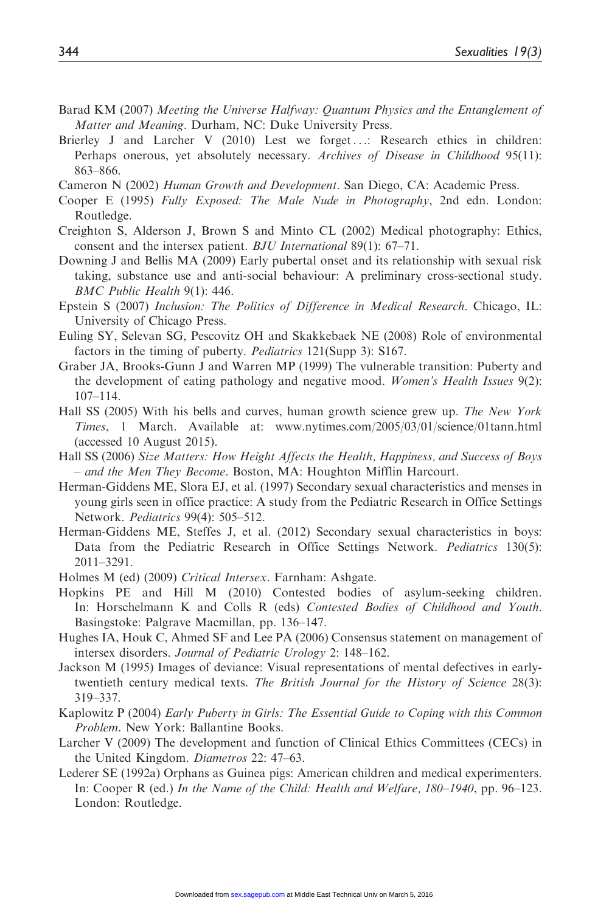- Barad KM (2007) Meeting the Universe Halfway: Quantum Physics and the Entanglement of Matter and Meaning. Durham, NC: Duke University Press.
- Brierley J and Larcher V (2010) Lest we forget ...: Research ethics in children: Perhaps onerous, yet absolutely necessary. Archives of Disease in Childhood 95(11): 863–866.
- Cameron N (2002) Human Growth and Development. San Diego, CA: Academic Press.
- Cooper E (1995) Fully Exposed: The Male Nude in Photography, 2nd edn. London: Routledge.
- Creighton S, Alderson J, Brown S and Minto CL (2002) Medical photography: Ethics, consent and the intersex patient. BJU International 89(1): 67–71.
- Downing J and Bellis MA (2009) Early pubertal onset and its relationship with sexual risk taking, substance use and anti-social behaviour: A preliminary cross-sectional study. BMC Public Health 9(1): 446.
- Epstein S (2007) Inclusion: The Politics of Difference in Medical Research. Chicago, IL: University of Chicago Press.
- Euling SY, Selevan SG, Pescovitz OH and Skakkebaek NE (2008) Role of environmental factors in the timing of puberty. Pediatrics 121(Supp 3): S167.
- Graber JA, Brooks-Gunn J and Warren MP (1999) The vulnerable transition: Puberty and the development of eating pathology and negative mood. Women's Health Issues 9(2): 107–114.
- Hall SS (2005) With his bells and curves, human growth science grew up. The New York Times, 1 March. Available at:<www.nytimes.com/2005/03/01/science/01tann.html> (accessed 10 August 2015).
- Hall SS (2006) Size Matters: How Height Affects the Health, Happiness, and Success of Boys – and the Men They Become. Boston, MA: Houghton Mifflin Harcourt.
- Herman-Giddens ME, Slora EJ, et al. (1997) Secondary sexual characteristics and menses in young girls seen in office practice: A study from the Pediatric Research in Office Settings Network. Pediatrics 99(4): 505–512.
- Herman-Giddens ME, Steffes J, et al. (2012) Secondary sexual characteristics in boys: Data from the Pediatric Research in Office Settings Network. *Pediatrics* 130(5): 2011–3291.
- Holmes M (ed) (2009) Critical Intersex. Farnham: Ashgate.
- Hopkins PE and Hill M (2010) Contested bodies of asylum-seeking children. In: Horschelmann K and Colls R (eds) Contested Bodies of Childhood and Youth. Basingstoke: Palgrave Macmillan, pp. 136–147.
- Hughes IA, Houk C, Ahmed SF and Lee PA (2006) Consensus statement on management of intersex disorders. Journal of Pediatric Urology 2: 148–162.
- Jackson M (1995) Images of deviance: Visual representations of mental defectives in earlytwentieth century medical texts. The British Journal for the History of Science 28(3): 319–337.
- Kaplowitz P (2004) Early Puberty in Girls: The Essential Guide to Coping with this Common Problem. New York: Ballantine Books.
- Larcher V (2009) The development and function of Clinical Ethics Committees (CECs) in the United Kingdom. Diametros 22: 47–63.
- Lederer SE (1992a) Orphans as Guinea pigs: American children and medical experimenters. In: Cooper R (ed.) In the Name of the Child: Health and Welfare, 180–1940, pp. 96–123. London: Routledge.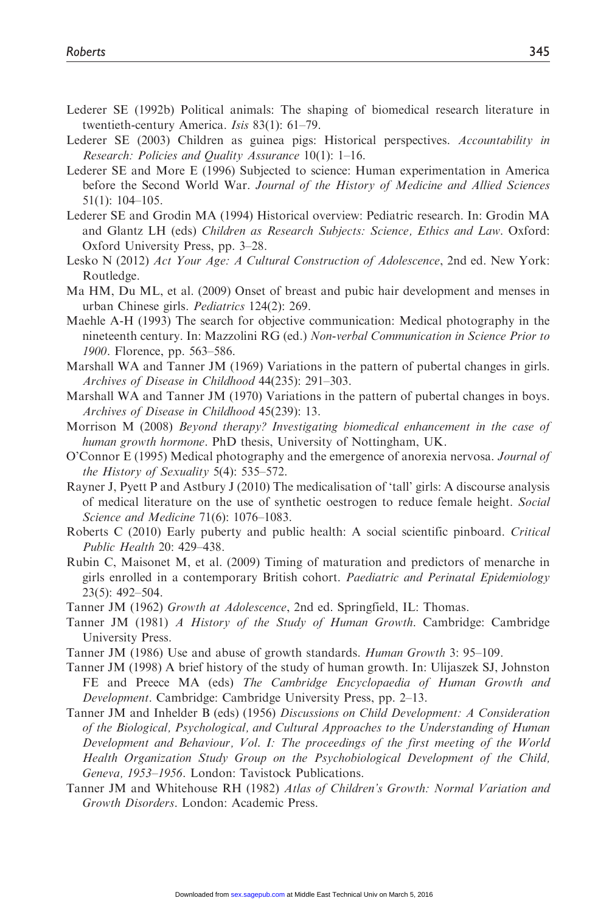- Lederer SE (1992b) Political animals: The shaping of biomedical research literature in twentieth-century America. Isis 83(1): 61–79.
- Lederer SE (2003) Children as guinea pigs: Historical perspectives. Accountability in Research: Policies and Quality Assurance 10(1): 1–16.
- Lederer SE and More E (1996) Subjected to science: Human experimentation in America before the Second World War. Journal of the History of Medicine and Allied Sciences 51(1): 104–105.
- Lederer SE and Grodin MA (1994) Historical overview: Pediatric research. In: Grodin MA and Glantz LH (eds) Children as Research Subjects: Science, Ethics and Law. Oxford: Oxford University Press, pp. 3–28.
- Lesko N (2012) Act Your Age: A Cultural Construction of Adolescence, 2nd ed. New York: Routledge.
- Ma HM, Du ML, et al. (2009) Onset of breast and pubic hair development and menses in urban Chinese girls. Pediatrics 124(2): 269.
- Maehle A-H (1993) The search for objective communication: Medical photography in the nineteenth century. In: Mazzolini RG (ed.) Non-verbal Communication in Science Prior to 1900. Florence, pp. 563–586.
- Marshall WA and Tanner JM (1969) Variations in the pattern of pubertal changes in girls. Archives of Disease in Childhood 44(235): 291–303.
- Marshall WA and Tanner JM (1970) Variations in the pattern of pubertal changes in boys. Archives of Disease in Childhood 45(239): 13.
- Morrison M (2008) Beyond therapy? Investigating biomedical enhancement in the case of human growth hormone. PhD thesis, University of Nottingham, UK.
- O'Connor E (1995) Medical photography and the emergence of anorexia nervosa. Journal of the History of Sexuality 5(4): 535–572.
- Rayner J, Pyett P and Astbury J (2010) The medicalisation of 'tall' girls: A discourse analysis of medical literature on the use of synthetic oestrogen to reduce female height. Social Science and Medicine 71(6): 1076–1083.
- Roberts C (2010) Early puberty and public health: A social scientific pinboard. Critical Public Health 20: 429–438.
- Rubin C, Maisonet M, et al. (2009) Timing of maturation and predictors of menarche in girls enrolled in a contemporary British cohort. Paediatric and Perinatal Epidemiology 23(5): 492–504.
- Tanner JM (1962) Growth at Adolescence, 2nd ed. Springfield, IL: Thomas.
- Tanner JM (1981) A History of the Study of Human Growth. Cambridge: Cambridge University Press.
- Tanner JM (1986) Use and abuse of growth standards. Human Growth 3: 95–109.
- Tanner JM (1998) A brief history of the study of human growth. In: Ulijaszek SJ, Johnston FE and Preece MA (eds) The Cambridge Encyclopaedia of Human Growth and Development. Cambridge: Cambridge University Press, pp. 2–13.
- Tanner JM and Inhelder B (eds) (1956) Discussions on Child Development: A Consideration of the Biological, Psychological, and Cultural Approaches to the Understanding of Human Development and Behaviour, Vol. I: The proceedings of the first meeting of the World Health Organization Study Group on the Psychobiological Development of the Child, Geneva, 1953–1956. London: Tavistock Publications.
- Tanner JM and Whitehouse RH (1982) Atlas of Children's Growth: Normal Variation and Growth Disorders. London: Academic Press.